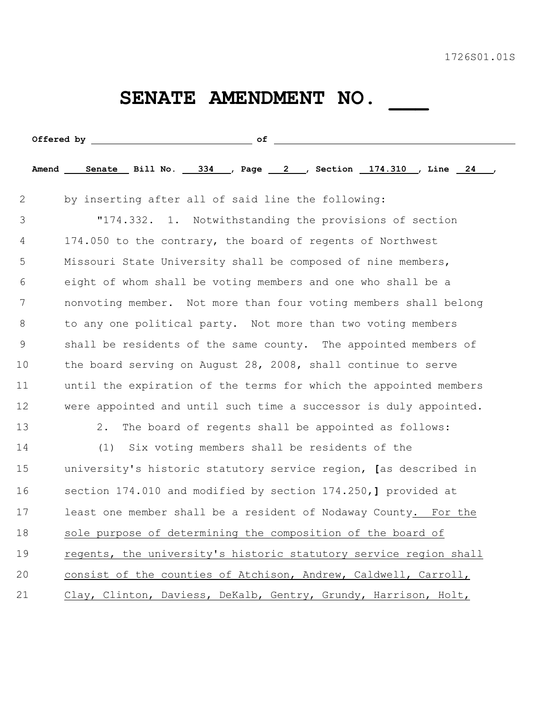## SENATE AMENDMENT NO. \_\_\_

|    | Amend Senate Bill No. 334 , Page 2 , Section 174.310 , Line 24    |
|----|-------------------------------------------------------------------|
| 2  | by inserting after all of said line the following:                |
| 3  | "174.332. 1. Notwithstanding the provisions of section            |
| 4  | 174.050 to the contrary, the board of regents of Northwest        |
| 5  | Missouri State University shall be composed of nine members,      |
| 6  | eight of whom shall be voting members and one who shall be a      |
| 7  | nonvoting member. Not more than four voting members shall belong  |
| 8  | to any one political party. Not more than two voting members      |
| 9  | shall be residents of the same county. The appointed members of   |
| 10 | the board serving on August 28, 2008, shall continue to serve     |
| 11 | until the expiration of the terms for which the appointed members |
| 12 | were appointed and until such time a successor is duly appointed. |
| 13 | The board of regents shall be appointed as follows:<br>2.         |
| 14 | (1)<br>Six voting members shall be residents of the               |
| 15 | university's historic statutory service region, [as described in  |
| 16 | section 174.010 and modified by section 174.250, ] provided at    |
| 17 | least one member shall be a resident of Nodaway County. For the   |
| 18 | sole purpose of determining the composition of the board of       |
| 19 | regents, the university's historic statutory service region shall |
| 20 | consist of the counties of Atchison, Andrew, Caldwell, Carroll,   |
| 21 | Clay, Clinton, Daviess, DeKalb, Gentry, Grundy, Harrison, Holt,   |
|    |                                                                   |